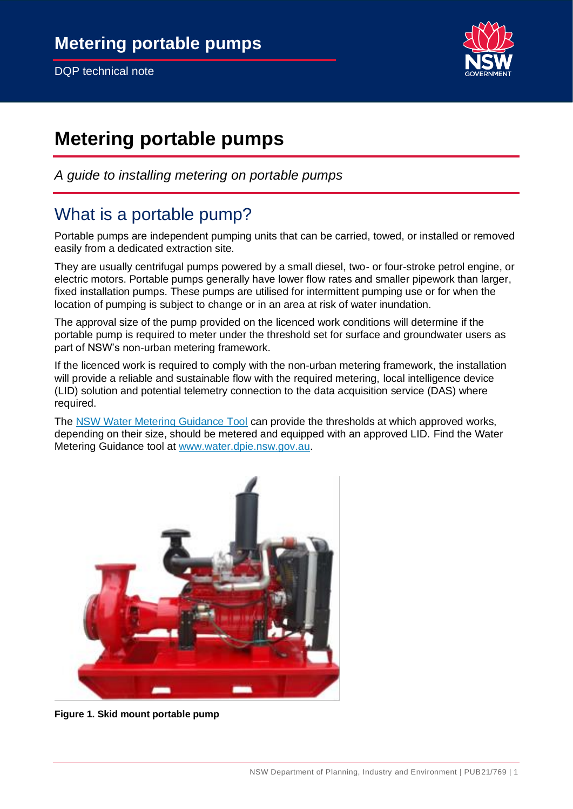

# **Metering portable pumps**

*A guide to installing metering on portable pumps* 

### What is a portable pump?

Portable pumps are independent pumping units that can be carried, towed, or installed or removed easily from a dedicated extraction site.

They are usually centrifugal pumps powered by a small diesel, two- or four-stroke petrol engine, or electric motors. Portable pumps generally have lower flow rates and smaller pipework than larger, fixed installation pumps. These pumps are utilised for intermittent pumping use or for when the location of pumping is subject to change or in an area at risk of water inundation.

The approval size of the pump provided on the licenced work conditions will determine if the portable pump is required to meter under the threshold set for surface and groundwater users as part of NSW's non-urban metering framework.

If the licenced work is required to comply with the non-urban metering framework, the installation will provide a reliable and sustainable flow with the required metering, local intelligence device (LID) solution and potential telemetry connection to the data acquisition service (DAS) where required.

The [NSW Water Metering Guidance Tool](https://nswdpie.tfaforms.net/182) can provide the thresholds at which approved works, depending on their size, should be metered and equipped with an approved LID. Find the Water Metering Guidance tool at [www.water.dpie.nsw.gov.au.](https://water.dpie.nsw.gov.au/)



**Figure 1. Skid mount portable pump**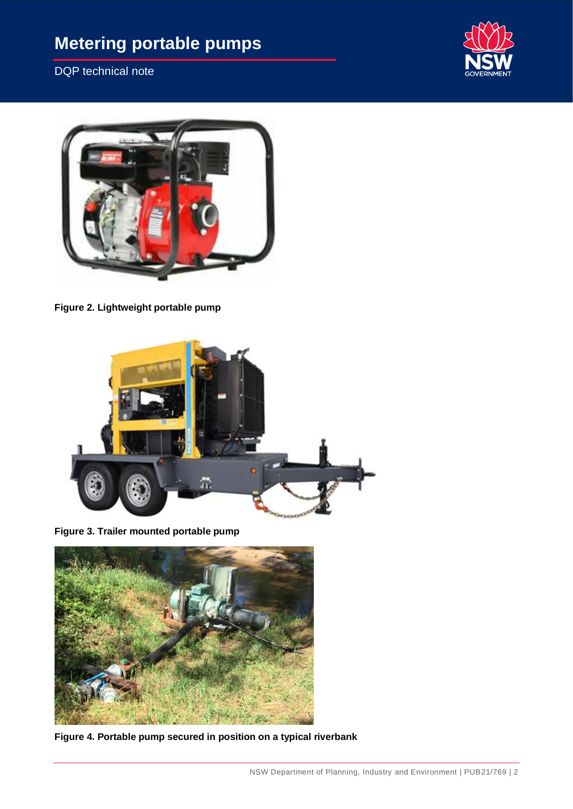# **Metering portable pumps**

DQP technical note





**Figure 2. Lightweight portable pump**



**Figure 3. Trailer mounted portable pump**



**Figure 4. Portable pump secured in position on a typical riverbank**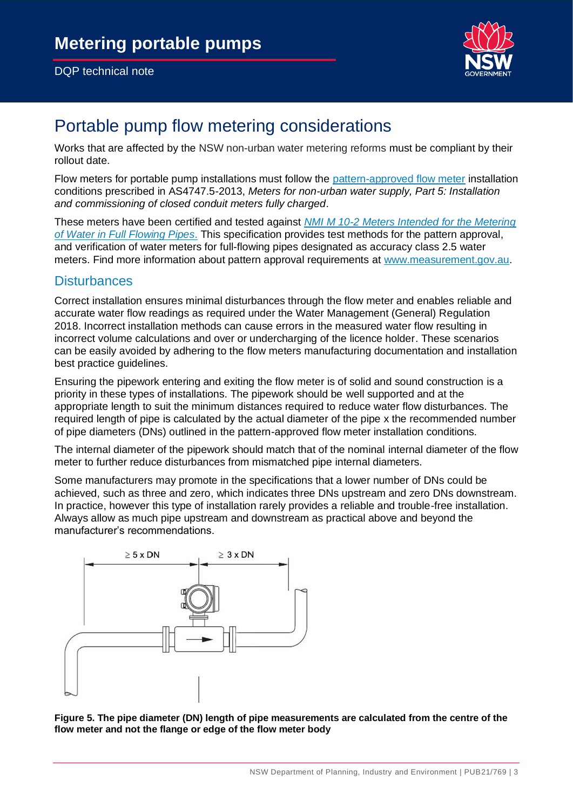#### DQP technical note



### Portable pump flow metering considerations

Works that are affected by the NSW non-urban water metering reforms must be compliant by their rollout date.

Flow meters for portable pump installations must follow the [pattern-approved flow meter](https://www.awe.gov.au/sites/default/files/documents/mdb-pattern-approved-non-urban-meters.pdf) installation conditions prescribed in AS4747.5-2013, *Meters for non-urban water supply, Part 5: Installation and commissioning of closed conduit meters fully charged*.

These meters have been certified and tested against *[NMI M 10-2 Meters Intended for the Metering](https://www.industry.gov.au/sites/default/files/2019-05/nmi_m_10-2.pdf)  [of Water in Full Flowing Pipes](https://www.industry.gov.au/sites/default/files/2019-05/nmi_m_10-2.pdf)*. This specification provides test methods for the pattern approval, and verification of water meters for full-flowing pipes designated as accuracy class 2.5 water meters. Find more information about pattern approval requirements at [www.measurement.gov.au.](http://www.measurement.gov.au/)

#### **Disturbances**

Correct installation ensures minimal disturbances through the flow meter and enables reliable and accurate water flow readings as required under the Water Management (General) Regulation 2018. Incorrect installation methods can cause errors in the measured water flow resulting in incorrect volume calculations and over or undercharging of the licence holder. These scenarios can be easily avoided by adhering to the flow meters manufacturing documentation and installation best practice quidelines.

Ensuring the pipework entering and exiting the flow meter is of solid and sound construction is a priority in these types of installations. The pipework should be well supported and at the appropriate length to suit the minimum distances required to reduce water flow disturbances. The required length of pipe is calculated by the actual diameter of the pipe x the recommended number of pipe diameters (DNs) outlined in the pattern-approved flow meter installation conditions.

The internal diameter of the pipework should match that of the nominal internal diameter of the flow meter to further reduce disturbances from mismatched pipe internal diameters.

Some manufacturers may promote in the specifications that a lower number of DNs could be achieved, such as three and zero, which indicates three DNs upstream and zero DNs downstream. In practice, however this type of installation rarely provides a reliable and trouble-free installation. Always allow as much pipe upstream and downstream as practical above and beyond the manufacturer's recommendations.



**Figure 5. The pipe diameter (DN) length of pipe measurements are calculated from the centre of the flow meter and not the flange or edge of the flow meter body**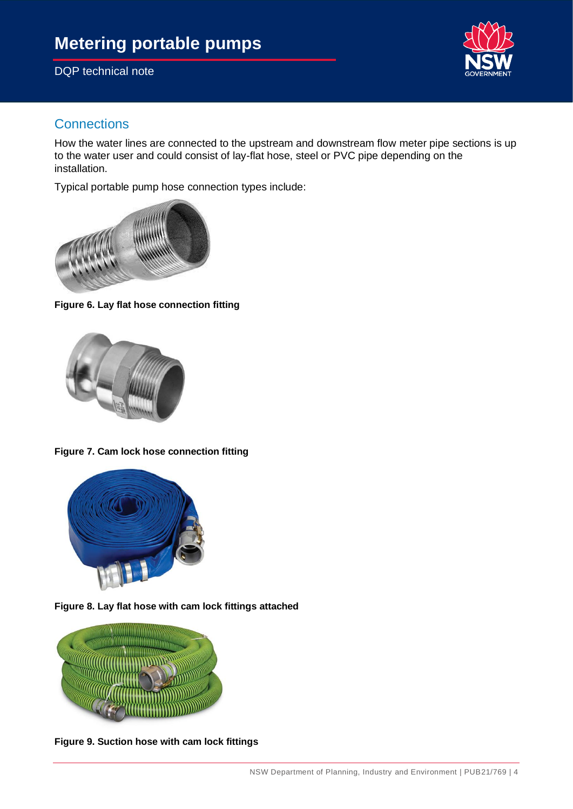

#### **Connections**

How the water lines are connected to the upstream and downstream flow meter pipe sections is up to the water user and could consist of lay-flat hose, steel or PVC pipe depending on the installation.

Typical portable pump hose connection types include:



**Figure 6. Lay flat hose connection fitting**



**Figure 7. Cam lock hose connection fitting**



**Figure 8. Lay flat hose with cam lock fittings attached**



**Figure 9. Suction hose with cam lock fittings**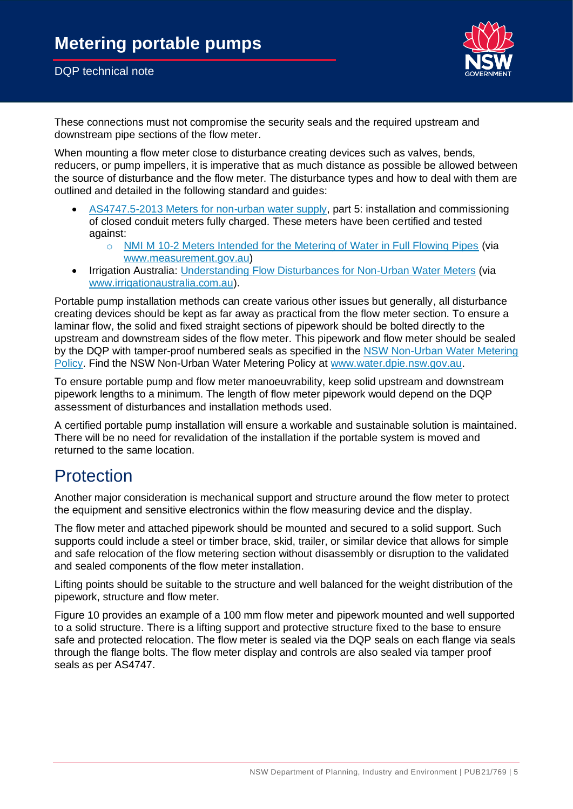

These connections must not compromise the security seals and the required upstream and downstream pipe sections of the flow meter.

When mounting a flow meter close to disturbance creating devices such as valves, bends, reducers, or pump impellers, it is imperative that as much distance as possible be allowed between the source of disturbance and the flow meter. The disturbance types and how to deal with them are outlined and detailed in the following standard and guides:

- [AS4747.5-2013 Meters for non-urban water supply,](https://infostore.saiglobal.com/en-au/standards/as-4747-5-2013-120120_saig_as_as_251743/) part 5: installation and commissioning of closed conduit meters fully charged. These meters have been certified and tested against:
	- o [NMI M 10-2 Meters Intended for the Metering of Water in Full Flowing Pipes](https://www.industry.gov.au/sites/default/files/2019-05/nmi_m_10-2.pdf) (via [www.measurement.gov.au\)](http://www.measurement.gov.au/)
- Irrigation Australia: [Understanding Flow Disturbances for Non-Urban Water Meters](https://www.irrigationaustralia.com.au/documents/item/1127) (via [www.irrigationaustralia.com.au\)](http://www.irrigationaustralia.com.au/).

Portable pump installation methods can create various other issues but generally, all disturbance creating devices should be kept as far away as practical from the flow meter section. To ensure a laminar flow, the solid and fixed straight sections of pipework should be bolted directly to the upstream and downstream sides of the flow meter. This pipework and flow meter should be sealed by the DQP with tamper-proof numbered seals as specified in the [NSW Non-Urban Water Metering](https://www.industry.nsw.gov.au/__data/assets/pdf_file/0017/312335/nsw-non-urban-water-metering-policy.pdf)  [Policy.](https://www.industry.nsw.gov.au/__data/assets/pdf_file/0017/312335/nsw-non-urban-water-metering-policy.pdf) Find the NSW Non-Urban Water Metering Policy at [www.water.dpie.nsw.gov.au.](https://water.dpie.nsw.gov.au/)

To ensure portable pump and flow meter manoeuvrability, keep solid upstream and downstream pipework lengths to a minimum. The length of flow meter pipework would depend on the DQP assessment of disturbances and installation methods used.

A certified portable pump installation will ensure a workable and sustainable solution is maintained. There will be no need for revalidation of the installation if the portable system is moved and returned to the same location.

### **Protection**

Another major consideration is mechanical support and structure around the flow meter to protect the equipment and sensitive electronics within the flow measuring device and the display.

The flow meter and attached pipework should be mounted and secured to a solid support. Such supports could include a steel or timber brace, skid, trailer, or similar device that allows for simple and safe relocation of the flow metering section without disassembly or disruption to the validated and sealed components of the flow meter installation.

Lifting points should be suitable to the structure and well balanced for the weight distribution of the pipework, structure and flow meter.

[Figure 10](#page-5-0) provides an example of a 100 mm flow meter and pipework mounted and well supported to a solid structure. There is a lifting support and protective structure fixed to the base to ensure safe and protected relocation. The flow meter is sealed via the DQP seals on each flange via seals through the flange bolts. The flow meter display and controls are also sealed via tamper proof seals as per AS4747.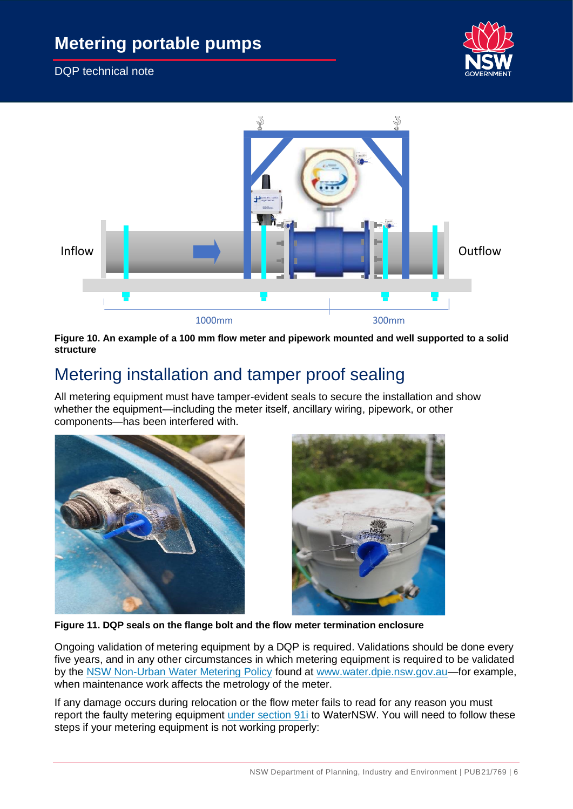



#### <span id="page-5-0"></span>**Figure 10. An example of a 100 mm flow meter and pipework mounted and well supported to a solid structure**

## Metering installation and tamper proof sealing

All metering equipment must have tamper-evident seals to secure the installation and show whether the equipment—including the meter itself, ancillary wiring, pipework, or other components—has been interfered with.





**Figure 11. DQP seals on the flange bolt and the flow meter termination enclosure**

Ongoing validation of metering equipment by a DQP is required. Validations should be done every five years, and in any other circumstances in which metering equipment is required to be validated by the [NSW Non-Urban Water Metering Policy](https://www.industry.nsw.gov.au/__data/assets/pdf_file/0017/312335/nsw-non-urban-water-metering-policy.pdf) found at [www.water.dpie.nsw.gov.au—](https://water.dpie.nsw.gov.au/)for example, when maintenance work affects the metrology of the meter.

If any damage occurs during relocation or the flow meter fails to read for any reason you must report the faulty metering equipment [under section 91i](https://www.waternsw.com.au/customer-service/service-and-help/forms/s91i-reporting-to-take-water-while-metering-equipment-is-not-operating-simplify) to WaterNSW. You will need to follow these steps if your metering equipment is not working properly: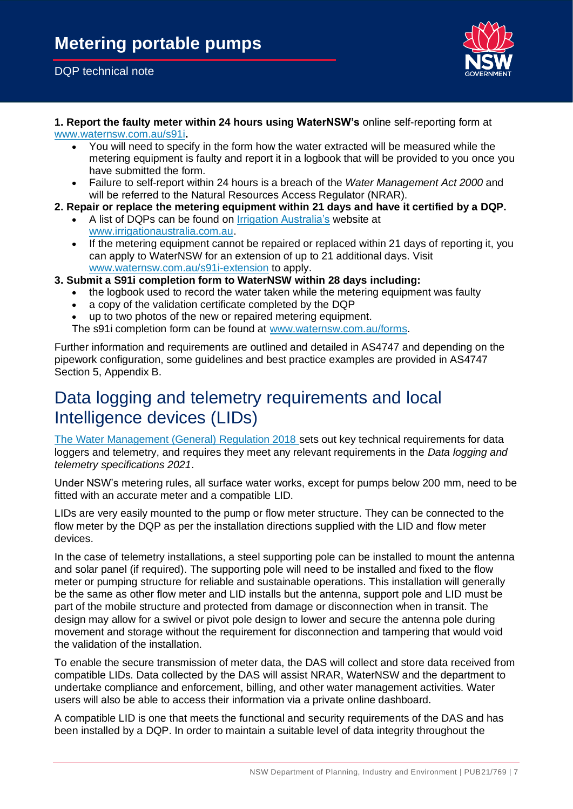#### DQP technical note



#### **1. Report the faulty meter within 24 hours using WaterNSW's** online self-reporting form at [www.waternsw.com.au/s91i](https://www.waternsw.com.au/customer-service/service-and-help/forms/s91i-reporting-to-take-water-while-metering-equipment-is-not-operating-simplify)**.**

- You will need to specify in the form how the water extracted will be measured while the metering equipment is faulty and report it in a logbook that will be provided to you once you have submitted the form.
- Failure to self-report within 24 hours is a breach of the *Water Management Act 2000* and will be referred to the Natural Resources Access Regulator (NRAR).
- **2. Repair or replace the metering equipment within 21 days and have it certified by a DQP.**
	- A list of DQPs can be found on [Irrigation Australia's](https://www.irrigationaustralia.com.au/) website at [www.irrigationaustralia.com.au.](http://www.irrigationaustralia.com.au/)
	- If the metering equipment cannot be repaired or replaced within 21 days of reporting it, you can apply to WaterNSW for an extension of up to 21 additional days. Visit [www.waternsw.com.au/s91i-extension](https://www.waternsw.com.au/customer-service/service-and-help/forms/s91i-extension-form) to apply.
- **3. Submit a S91i completion form to WaterNSW within 28 days including:**
	- the logbook used to record the water taken while the metering equipment was faulty
	- a copy of the validation certificate completed by the DQP
	- up to two photos of the new or repaired metering equipment.

The s91i completion form can be found at [www.waternsw.com.au/forms.](https://www.waternsw.com.au/customer-service/service-and-help/forms)

Further information and requirements are outlined and detailed in AS4747 and depending on the pipework configuration, some guidelines and best practice examples are provided in AS4747 Section 5, Appendix B.

## Data logging and telemetry requirements and local Intelligence devices (LIDs)

[The Water Management \(General\) Regulation 2018](https://legislation.nsw.gov.au/view/html/inforce/current/sl-2018-0480) sets out key technical requirements for data loggers and telemetry, and requires they meet any relevant requirements in the *Data logging and telemetry specifications 2021*.

Under NSW's metering rules, all surface water works, except for pumps below 200 mm, need to be fitted with an accurate meter and a compatible LID.

LIDs are very easily mounted to the pump or flow meter structure. They can be connected to the flow meter by the DQP as per the installation directions supplied with the LID and flow meter devices.

In the case of telemetry installations, a steel supporting pole can be installed to mount the antenna and solar panel (if required). The supporting pole will need to be installed and fixed to the flow meter or pumping structure for reliable and sustainable operations. This installation will generally be the same as other flow meter and LID installs but the antenna, support pole and LID must be part of the mobile structure and protected from damage or disconnection when in transit. The design may allow for a swivel or pivot pole design to lower and secure the antenna pole during movement and storage without the requirement for disconnection and tampering that would void the validation of the installation.

To enable the secure transmission of meter data, the DAS will collect and store data received from compatible LIDs. Data collected by the DAS will assist NRAR, WaterNSW and the department to undertake compliance and enforcement, billing, and other water management activities. Water users will also be able to access their information via a private online dashboard.

A compatible LID is one that meets the functional and security requirements of the DAS and has been installed by a DQP. In order to maintain a suitable level of data integrity throughout the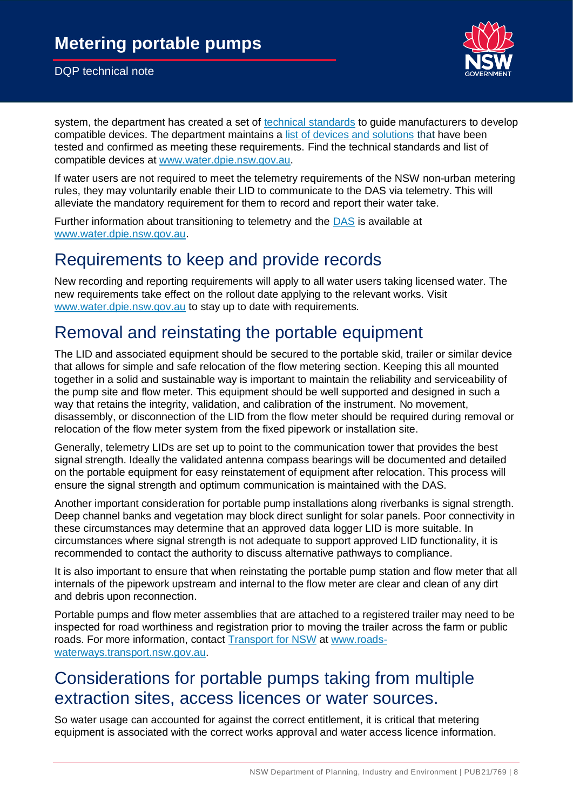

system, the department has created a set of [technical standards](https://water.dpie.nsw.gov.au/nsw-non-urban-water-metering/what-suppliers-of-metering-equipment-need-to-know) to quide manufacturers to develop compatible devices. The department maintains a [list of devices and solutions](https://water.dpie.nsw.gov.au/nsw-non-urban-water-metering/what-suppliers-of-metering-equipment-need-to-know/non-urban-metering) that have been tested and confirmed as meeting these requirements. Find the technical standards and list of compatible devices at [www.water.dpie.nsw.gov.au.](https://water.dpie.nsw.gov.au/)

If water users are not required to meet the telemetry requirements of the NSW non-urban metering rules, they may voluntarily enable their LID to communicate to the DAS via telemetry. This will alleviate the mandatory requirement for them to record and report their water take.

Further information about transitioning to telemetry and the [DAS](https://www.waternsw.com.au/__data/assets/pdf_file/0008/162890/Water-Customer-DAS-User-Guide-v1.0-Published-September-2020.pdf_081220.pdf) is available at [www.water.dpie.nsw.gov.au.](https://water.dpie.nsw.gov.au/)

#### Requirements to keep and provide records

New recording and reporting requirements will apply to all water users taking licensed water. The new requirements take effect on the rollout date applying to the relevant works. Visit [www.water.dpie.nsw.gov.au](https://water.dpie.nsw.gov.au/) to stay up to date with requirements.

## Removal and reinstating the portable equipment

The LID and associated equipment should be secured to the portable skid, trailer or similar device that allows for simple and safe relocation of the flow metering section. Keeping this all mounted together in a solid and sustainable way is important to maintain the reliability and serviceability of the pump site and flow meter. This equipment should be well supported and designed in such a way that retains the integrity, validation, and calibration of the instrument. No movement, disassembly, or disconnection of the LID from the flow meter should be required during removal or relocation of the flow meter system from the fixed pipework or installation site.

Generally, telemetry LIDs are set up to point to the communication tower that provides the best signal strength. Ideally the validated antenna compass bearings will be documented and detailed on the portable equipment for easy reinstatement of equipment after relocation. This process will ensure the signal strength and optimum communication is maintained with the DAS.

Another important consideration for portable pump installations along riverbanks is signal strength. Deep channel banks and vegetation may block direct sunlight for solar panels. Poor connectivity in these circumstances may determine that an approved data logger LID is more suitable. In circumstances where signal strength is not adequate to support approved LID functionality, it is recommended to contact the authority to discuss alternative pathways to compliance.

It is also important to ensure that when reinstating the portable pump station and flow meter that all internals of the pipework upstream and internal to the flow meter are clear and clean of any dirt and debris upon reconnection.

Portable pumps and flow meter assemblies that are attached to a registered trailer may need to be inspected for road worthiness and registration prior to moving the trailer across the farm or public roads. For more information, contact [Transport for NSW](https://roads-waterways.transport.nsw.gov.au/roads/vehicle-registration/index.html) at www.roadswaterways.transport.nsw.gov.au.

### Considerations for portable pumps taking from multiple extraction sites, access licences or water sources.

So water usage can accounted for against the correct entitlement, it is critical that metering equipment is associated with the correct works approval and water access licence information.